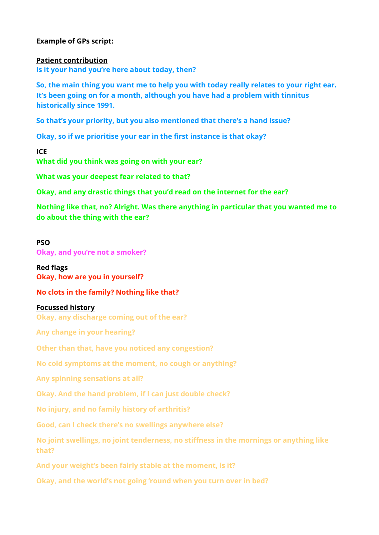## **Example of GPs script:**

#### **Patient contribution**

**Is it your hand you're here about today, then?** 

**So, the main thing you want me to help you with today really relates to your right ear. It's been going on for a month, although you have had a problem with tinnitus historically since 1991.** 

**So that's your priority, but you also mentioned that there's a hand issue?** 

**Okay, so if we prioritise your ear in the first instance is that okay?** 

**ICE What did you think was going on with your ear?** 

**What was your deepest fear related to that?** 

**Okay, and any drastic things that you'd read on the internet for the ear?** 

**Nothing like that, no? Alright. Was there anything in particular that you wanted me to do about the thing with the ear?** 

#### **PSO**

**Okay, and you're not a smoker?** 

**Red flags Okay, how are you in yourself?** 

**No clots in the family? Nothing like that?** 

#### **Focussed history**

**Okay, any discharge coming out of the ear?** 

**Any change in your hearing?** 

**Other than that, have you noticed any congestion?** 

**No cold symptoms at the moment, no cough or anything?** 

**Any spinning sensations at all?** 

**Okay. And the hand problem, if I can just double check?** 

**No injury, and no family history of arthritis?** 

**Good, can I check there's no swellings anywhere else?** 

**No joint swellings, no joint tenderness, no stiffness in the mornings or anything like that?** 

**And your weight's been fairly stable at the moment, is it?** 

**Okay, and the world's not going 'round when you turn over in bed?**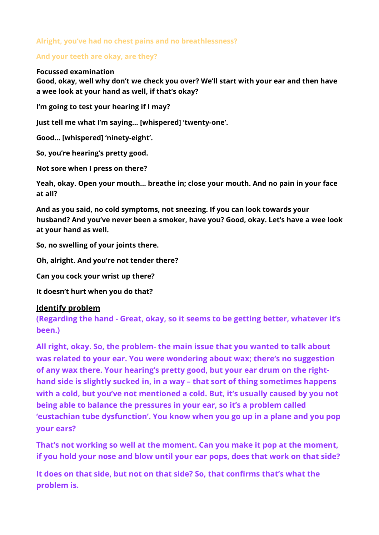# **Alright, you've had no chest pains and no breathlessness?**

## **And your teeth are okay, are they?**

#### **Focussed examination**

**Good, okay, well why don't we check you over? We'll start with your ear and then have a wee look at your hand as well, if that's okay?** 

**I'm going to test your hearing if I may?** 

**Just tell me what I'm saying… [whispered] 'twenty-one'.** 

**Good… [whispered] 'ninety-eight'.** 

**So, you're hearing's pretty good.** 

**Not sore when I press on there?** 

**Yeah, okay. Open your mouth… breathe in; close your mouth. And no pain in your face at all?** 

**And as you said, no cold symptoms, not sneezing. If you can look towards your husband? And you've never been a smoker, have you? Good, okay. Let's have a wee look at your hand as well.** 

**So, no swelling of your joints there.** 

**Oh, alright. And you're not tender there?** 

**Can you cock your wrist up there?** 

**It doesn't hurt when you do that?** 

### **Identify problem**

**(Regarding the hand - Great, okay, so it seems to be getting better, whatever it's been.)** 

**All right, okay. So, the problem- the main issue that you wanted to talk about was related to your ear. You were wondering about wax; there's no suggestion of any wax there. Your hearing's pretty good, but your ear drum on the righthand side is slightly sucked in, in a way – that sort of thing sometimes happens with a cold, but you've not mentioned a cold. But, it's usually caused by you not being able to balance the pressures in your ear, so it's a problem called 'eustachian tube dysfunction'. You know when you go up in a plane and you pop your ears?** 

**That's not working so well at the moment. Can you make it pop at the moment, if you hold your nose and blow until your ear pops, does that work on that side?** 

**It does on that side, but not on that side? So, that confirms that's what the problem is.**